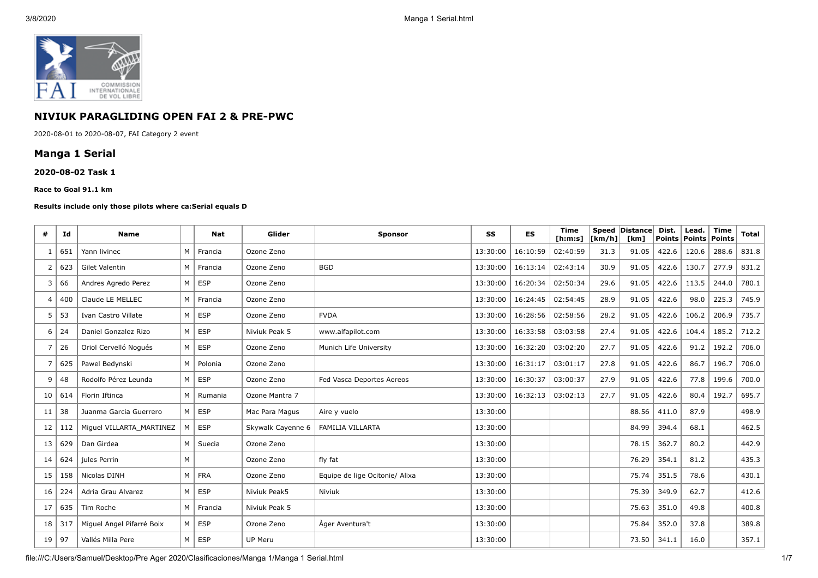

# **NIVIUK PARAGLIDING OPEN FAI 2 & PRE-PWC**

2020-08-01 to 2020-08-07, FAI Category 2 event

## **Manga 1 Serial**

#### **2020-08-02 Task 1**

#### **Race to Goal 91.1 km**

#### **Results include only those pilots where ca:Serial equals D**

| #  | Id  | <b>Name</b>               |   | <b>Nat</b> | Glider            | <b>Sponsor</b>                 | SS       | <b>ES</b> | <b>Time</b><br>[ <b>h</b> : <b>m</b> : <b>s</b> ] | $\lfloor \frac{1}{\text{km/h}} \rfloor$ | Speed Distance<br>[km] | Dist.<br><b>Points</b> | Lead.<br>  Points | <b>Time</b><br>Points | <b>Total</b> |
|----|-----|---------------------------|---|------------|-------------------|--------------------------------|----------|-----------|---------------------------------------------------|-----------------------------------------|------------------------|------------------------|-------------------|-----------------------|--------------|
| -1 | 651 | Yann livinec              | M | Francia    | Ozone Zeno        |                                | 13:30:00 | 16:10:59  | 02:40:59                                          | 31.3                                    | 91.05                  | 422.6                  | 120.6             | 288.6                 | 831.8        |
| 2  | 623 | Gilet Valentin            | M | Francia    | Ozone Zeno        | <b>BGD</b>                     | 13:30:00 | 16:13:14  | 02:43:14                                          | 30.9                                    | 91.05                  | 422.6                  | 130.7             | 277.9                 | 831.2        |
| 3  | 66  | Andres Agredo Perez       | M | <b>ESP</b> | Ozone Zeno        |                                | 13:30:00 | 16:20:34  | 02:50:34                                          | 29.6                                    | 91.05                  | 422.6                  | 113.5             | 244.0                 | 780.1        |
| 4  | 400 | Claude LE MELLEC          | M | Francia    | Ozone Zeno        |                                | 13:30:00 | 16:24:45  | 02:54:45                                          | 28.9                                    | 91.05                  | 422.6                  | 98.0              | 225.3                 | 745.9        |
| 5  | 53  | Ivan Castro Villate       | M | <b>ESP</b> | Ozone Zeno        | <b>FVDA</b>                    | 13:30:00 | 16:28:56  | 02:58:56                                          | 28.2                                    | 91.05                  | 422.6                  | 106.2             | 206.9                 | 735.7        |
| 6  | 24  | Daniel Gonzalez Rizo      | M | <b>ESP</b> | Niviuk Peak 5     | www.alfapilot.com              | 13:30:00 | 16:33:58  | 03:03:58                                          | 27.4                                    | 91.05                  | 422.6                  | 104.4             | 185.2                 | 712.2        |
| 7  | 26  | Oriol Cervelló Noqués     | M | <b>ESP</b> | Ozone Zeno        | Munich Life University         | 13:30:00 | 16:32:20  | 03:02:20                                          | 27.7                                    | 91.05                  | 422.6                  | 91.2              | 192.2                 | 706.0        |
| 7  | 625 | Pawel Bedynski            | M | Polonia    | Ozone Zeno        |                                | 13:30:00 | 16:31:17  | 03:01:17                                          | 27.8                                    | 91.05                  | 422.6                  | 86.7              | 196.7                 | 706.0        |
| 9  | 48  | Rodolfo Pérez Leunda      | M | <b>ESP</b> | Ozone Zeno        | Fed Vasca Deportes Aereos      | 13:30:00 | 16:30:37  | 03:00:37                                          | 27.9                                    | 91.05                  | 422.6                  | 77.8              | 199.6                 | 700.0        |
| 10 | 614 | Florin Iftinca            | M | Rumania    | Ozone Mantra 7    |                                | 13:30:00 | 16:32:13  | 03:02:13                                          | 27.7                                    | 91.05                  | 422.6                  | 80.4              | 192.7                 | 695.7        |
| 11 | 38  | Juanma Garcia Guerrero    | M | <b>ESP</b> | Mac Para Magus    | Aire y vuelo                   | 13:30:00 |           |                                                   |                                         | 88.56                  | 411.0                  | 87.9              |                       | 498.9        |
| 12 | 112 | Miguel VILLARTA MARTINEZ  | M | <b>ESP</b> | Skywalk Cayenne 6 | <b>FAMILIA VILLARTA</b>        | 13:30:00 |           |                                                   |                                         | 84.99                  | 394.4                  | 68.1              |                       | 462.5        |
| 13 | 629 | Dan Girdea                | M | Suecia     | Ozone Zeno        |                                | 13:30:00 |           |                                                   |                                         | 78.15                  | 362.7                  | 80.2              |                       | 442.9        |
| 14 | 624 | jules Perrin              | M |            | Ozone Zeno        | fly fat                        | 13:30:00 |           |                                                   |                                         | 76.29                  | 354.1                  | 81.2              |                       | 435.3        |
| 15 | 158 | Nicolas DINH              | M | <b>FRA</b> | Ozone Zeno        | Equipe de lige Ocitonie/ Alixa | 13:30:00 |           |                                                   |                                         | 75.74                  | 351.5                  | 78.6              |                       | 430.1        |
| 16 | 224 | Adria Grau Alvarez        | M | <b>ESP</b> | Niviuk Peak5      | Niviuk                         | 13:30:00 |           |                                                   |                                         | 75.39                  | 349.9                  | 62.7              |                       | 412.6        |
| 17 | 635 | Tim Roche                 | M | Francia    | Niviuk Peak 5     |                                | 13:30:00 |           |                                                   |                                         | 75.63                  | 351.0                  | 49.8              |                       | 400.8        |
| 18 | 317 | Miguel Angel Pifarré Boix | M | <b>ESP</b> | Ozone Zeno        | Ager Aventura't                | 13:30:00 |           |                                                   |                                         | 75.84                  | 352.0                  | 37.8              |                       | 389.8        |
| 19 | 97  | Vallés Milla Pere         | M | <b>ESP</b> | UP Meru           |                                | 13:30:00 |           |                                                   |                                         | 73.50                  | 341.1                  | 16.0              |                       | 357.1        |

file:///C:/Users/Samuel/Desktop/Pre Ager 2020/Clasificaciones/Manga 1/Manga 1 Serial.html 1/7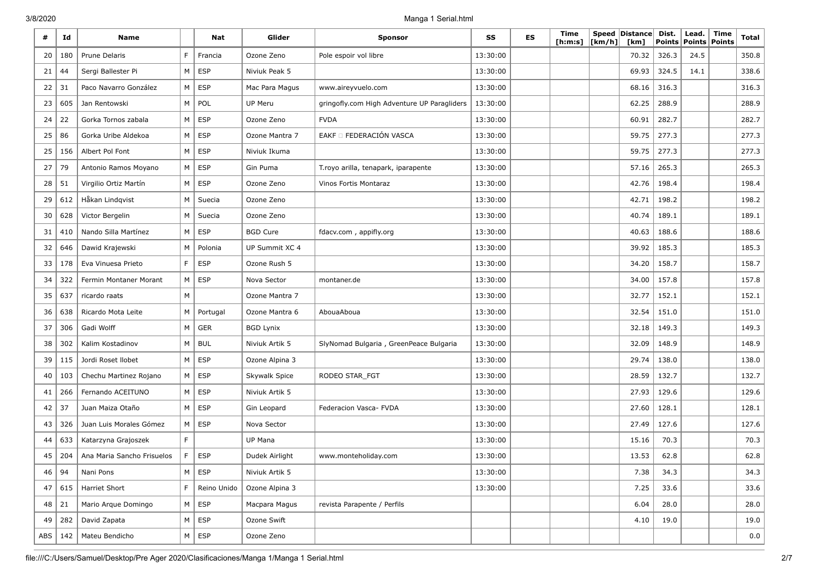| #   | Id  | <b>Name</b>                |   | Nat           | Glider           | <b>Sponsor</b>                              | SS       | ES | Time<br>[h:m:s] | [km/h] | Speed Distance<br>[km] | Dist.<br>Points | Lead.<br>Points Points | Time | Total |
|-----|-----|----------------------------|---|---------------|------------------|---------------------------------------------|----------|----|-----------------|--------|------------------------|-----------------|------------------------|------|-------|
| 20  | 180 | Prune Delaris              | F | Francia       | Ozone Zeno       | Pole espoir vol libre                       | 13:30:00 |    |                 |        | 70.32                  | 326.3           | 24.5                   |      | 350.8 |
| 21  | 44  | Sergi Ballester Pi         | М | <b>ESP</b>    | Niviuk Peak 5    |                                             | 13:30:00 |    |                 |        | 69.93                  | 324.5           | 14.1                   |      | 338.6 |
| 22  | 31  | Paco Navarro González      | М | <b>ESP</b>    | Mac Para Magus   | www.aireyvuelo.com                          | 13:30:00 |    |                 |        | 68.16                  | 316.3           |                        |      | 316.3 |
| 23  | 605 | Jan Rentowski              | М | POL           | UP Meru          | gringofly.com High Adventure UP Paragliders | 13:30:00 |    |                 |        | 62.25                  | 288.9           |                        |      | 288.9 |
| 24  | 22  | Gorka Tornos zabala        | М | <b>ESP</b>    | Ozone Zeno       | <b>FVDA</b>                                 | 13:30:00 |    |                 |        | 60.91                  | 282.7           |                        |      | 282.7 |
| 25  | 86  | Gorka Uribe Aldekoa        | M | <b>ESP</b>    | Ozone Mantra 7   | EAKF O FEDERACIÓN VASCA                     | 13:30:00 |    |                 |        | 59.75                  | 277.3           |                        |      | 277.3 |
| 25  | 156 | Albert Pol Font            | М | <b>ESP</b>    | Niviuk Ikuma     |                                             | 13:30:00 |    |                 |        | 59.75                  | 277.3           |                        |      | 277.3 |
| 27  | 79  | Antonio Ramos Moyano       | М | <b>ESP</b>    | Gin Puma         | T.royo arilla, tenapark, iparapente         | 13:30:00 |    |                 |        | 57.16                  | 265.3           |                        |      | 265.3 |
| 28  | 51  | Virgilio Ortiz Martín      | M | <b>ESP</b>    | Ozone Zeno       | Vinos Fortis Montaraz                       | 13:30:00 |    |                 |        | 42.76                  | 198.4           |                        |      | 198.4 |
| 29  | 612 | Håkan Lindqvist            | M | Suecia        | Ozone Zeno       |                                             | 13:30:00 |    |                 |        | 42.71                  | 198.2           |                        |      | 198.2 |
| 30  | 628 | Victor Bergelin            | М | Suecia        | Ozone Zeno       |                                             | 13:30:00 |    |                 |        | 40.74                  | 189.1           |                        |      | 189.1 |
| 31  | 410 | Nando Silla Martínez       | М | <b>ESP</b>    | <b>BGD Cure</b>  | fdacv.com, appifly.org                      | 13:30:00 |    |                 |        | 40.63                  | 188.6           |                        |      | 188.6 |
| 32  | 646 | Dawid Krajewski            | M | Polonia       | UP Summit XC 4   |                                             | 13:30:00 |    |                 |        | 39.92                  | 185.3           |                        |      | 185.3 |
| 33  | 178 | Eva Vinuesa Prieto         | F | <b>ESP</b>    | Ozone Rush 5     |                                             | 13:30:00 |    |                 |        | 34.20                  | 158.7           |                        |      | 158.7 |
| 34  | 322 | Fermin Montaner Morant     | М | <b>ESP</b>    | Nova Sector      | montaner.de                                 | 13:30:00 |    |                 |        | 34.00                  | 157.8           |                        |      | 157.8 |
| 35  | 637 | ricardo raats              | M |               | Ozone Mantra 7   |                                             | 13:30:00 |    |                 |        | 32.77                  | 152.1           |                        |      | 152.1 |
| 36  | 638 | Ricardo Mota Leite         | М | Portugal      | Ozone Mantra 6   | AbouaAboua                                  | 13:30:00 |    |                 |        | 32.54                  | 151.0           |                        |      | 151.0 |
| 37  | 306 | Gadi Wolff                 | M | <b>GER</b>    | <b>BGD Lynix</b> |                                             | 13:30:00 |    |                 |        | 32.18                  | 149.3           |                        |      | 149.3 |
| 38  | 302 | Kalim Kostadinov           | М | <b>BUL</b>    | Niviuk Artik 5   | SlyNomad Bulgaria, GreenPeace Bulgaria      | 13:30:00 |    |                 |        | 32.09                  | 148.9           |                        |      | 148.9 |
| 39  | 115 | Jordi Roset Ilobet         | М | <b>ESP</b>    | Ozone Alpina 3   |                                             | 13:30:00 |    |                 |        | 29.74                  | 138.0           |                        |      | 138.0 |
| 40  | 103 | Chechu Martinez Rojano     | М | <b>ESP</b>    | Skywalk Spice    | RODEO STAR_FGT                              | 13:30:00 |    |                 |        | 28.59                  | 132.7           |                        |      | 132.7 |
| 41  | 266 | Fernando ACEITUNO          | М | <b>ESP</b>    | Niviuk Artik 5   |                                             | 13:30:00 |    |                 |        | 27.93                  | 129.6           |                        |      | 129.6 |
| 42  | 37  | Juan Maiza Otaño           | М | <b>ESP</b>    | Gin Leopard      | Federacion Vasca- FVDA                      | 13:30:00 |    |                 |        | 27.60                  | 128.1           |                        |      | 128.1 |
| 43  | 326 | Juan Luis Morales Gómez    | M | <b>ESP</b>    | Nova Sector      |                                             | 13:30:00 |    |                 |        | 27.49                  | 127.6           |                        |      | 127.6 |
| 44  | 633 | Katarzyna Grajoszek        | F |               | UP Mana          |                                             | 13:30:00 |    |                 |        | 15.16                  | 70.3            |                        |      | 70.3  |
| 45  | 204 | Ana Maria Sancho Frisuelos | F | <b>ESP</b>    | Dudek Airlight   | www.monteholiday.com                        | 13:30:00 |    |                 |        | 13.53                  | 62.8            |                        |      | 62.8  |
| 46  | 94  | Nani Pons                  | M | ESP           | Niviuk Artik 5   |                                             | 13:30:00 |    |                 |        | 7.38                   | 34.3            |                        |      | 34.3  |
| 47  | 615 | Harriet Short              | F | Reino Unido   | Ozone Alpina 3   |                                             | 13:30:00 |    |                 |        | 7.25                   | 33.6            |                        |      | 33.6  |
| 48  | 21  | Mario Arque Domingo        | M | ESP           | Macpara Magus    | revista Parapente / Perfils                 |          |    |                 |        | 6.04                   | 28.0            |                        |      | 28.0  |
| 49  | 282 | David Zapata               | M | ESP           | Ozone Swift      |                                             |          |    |                 |        | 4.10                   | 19.0            |                        |      | 19.0  |
| ABS | 142 | Mateu Bendicho             |   | $M \vert$ ESP | Ozone Zeno       |                                             |          |    |                 |        |                        |                 |                        |      | 0.0   |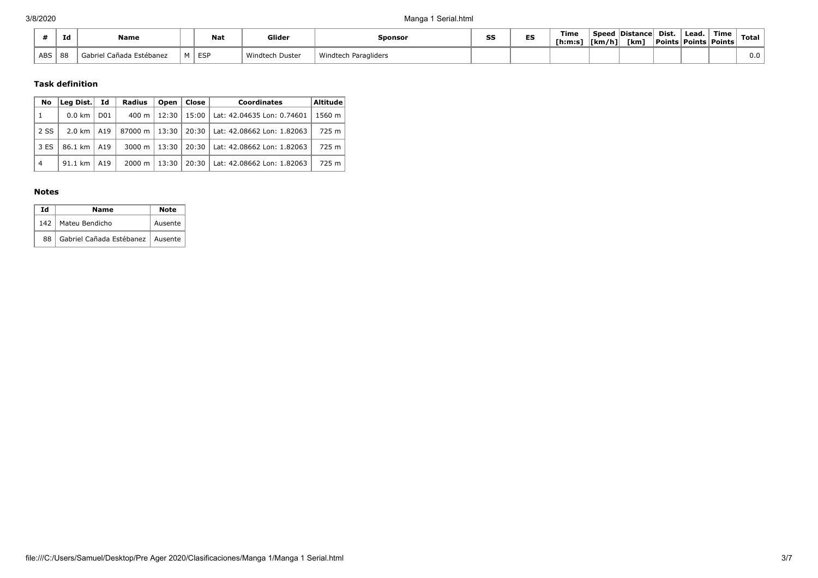|            | Ιd | Name                        |   | <b>Nat</b> | Glider               | Sponsor              | SS | --<br>ES | Time<br>[ <b>h</b> : <b>m</b> : <b>s</b> ] | .<br> [km/h] | <b>Speed Distancel</b><br>[km] | Dist.<br>Points | Lead.<br>  Points   Points | Time | Total |
|------------|----|-----------------------------|---|------------|----------------------|----------------------|----|----------|--------------------------------------------|--------------|--------------------------------|-----------------|----------------------------|------|-------|
| <b>ABS</b> | 88 | Cañada Estébanez<br>Gabriel | м | , ESP      | Windtech<br>ı Dustei | Windtech Paragliders |    |          |                                            |              |                                |                 |                            |      | v.v   |

### **Task definition**

| No             | Lea Dist.        | Id              | Radius         | Open    | Close   | <b>Coordinates</b>                 | Altitude |
|----------------|------------------|-----------------|----------------|---------|---------|------------------------------------|----------|
| 1              | $0.0 \text{ km}$ | D <sub>01</sub> | 400 m l        | 12:30   | $15:00$ | Lat: 42.04635 Lon: 0.74601         | 1560 m   |
| 2 SS           | 2.0 km   A19     |                 | 87000 m l      | 13:30 l |         | 20:30   Lat: 42.08662 Lon: 1.82063 | 725 m    |
| 3 ES           | 86.1 km   A19    |                 | 3000 m $\vert$ | $13:30$ | $20:30$ | Lat: 42.08662 Lon: 1.82063         | 725 m    |
| $\overline{4}$ | 91.1 km          | A19             | 2000 m         | 13:30   | $20:30$ | Lat: 42.08662 Lon: 1.82063         | 725 m    |

#### **Notes**

| Ιd | Name                                    | <b>Note</b> |
|----|-----------------------------------------|-------------|
|    | 142   Mateu Bendicho                    | Ausente     |
|    | 88   Gabriel Cañada Estébanez   Ausente |             |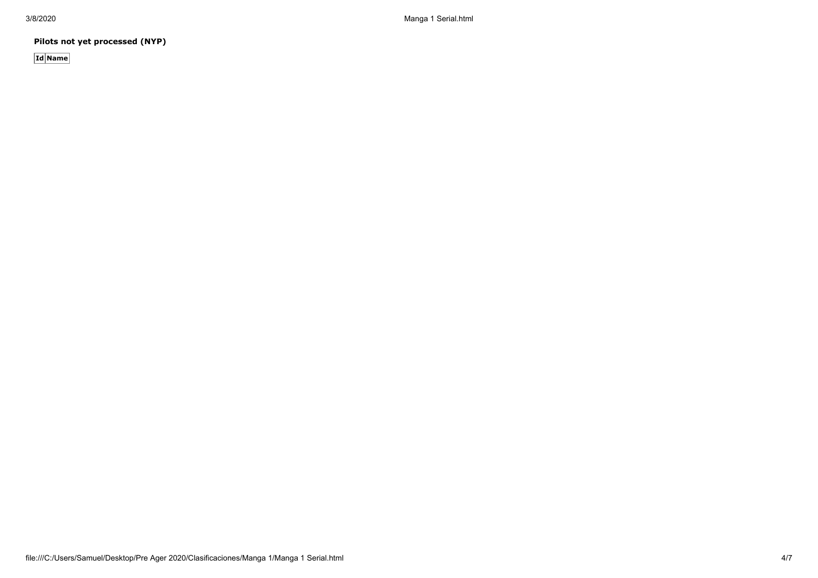3/8/2020 Manga 1 Serial.html

**Pilots not yet processed (NYP)**

**Id Name**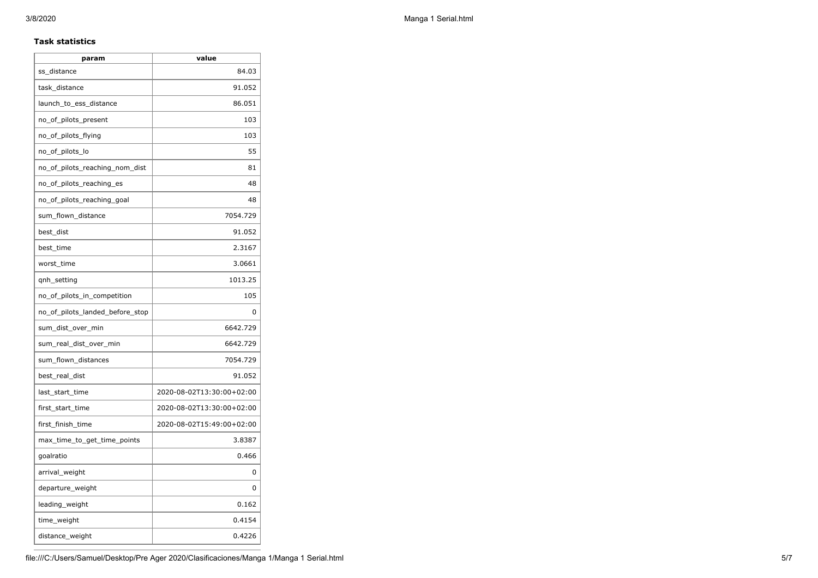### **Task statistics**

| param                           | value                     |
|---------------------------------|---------------------------|
| ss_distance                     | 84.03                     |
| task_distance                   | 91.052                    |
| launch_to_ess_distance          | 86.051                    |
| no_of_pilots_present            | 103                       |
| no_of_pilots_flying             | 103                       |
| no_of_pilots_lo                 | 55                        |
| no_of_pilots_reaching_nom_dist  | 81                        |
| no_of_pilots_reaching_es        | 48                        |
| no_of_pilots_reaching_goal      | 48                        |
| sum_flown_distance              | 7054.729                  |
| best_dist                       | 91.052                    |
| best time                       | 2.3167                    |
| worst_time                      | 3.0661                    |
| qnh_setting                     | 1013.25                   |
| no_of_pilots_in_competition     | 105                       |
| no_of_pilots_landed_before_stop | 0                         |
| sum_dist_over_min               | 6642.729                  |
| sum_real_dist_over_min          | 6642.729                  |
| sum_flown_distances             | 7054.729                  |
| best_real_dist                  | 91.052                    |
| last_start_time                 | 2020-08-02T13:30:00+02:00 |
| first_start_time                | 2020-08-02T13:30:00+02:00 |
| first_finish_time               | 2020-08-02T15:49:00+02:00 |
| max_time_to_get_time_points     | 3.8387                    |
| goalratio                       | 0.466                     |
| arrival_weight                  | 0                         |
| departure_weight                | 0                         |
| leading_weight                  | 0.162                     |
| time_weight                     | 0.4154                    |
| distance_weight                 | 0.4226                    |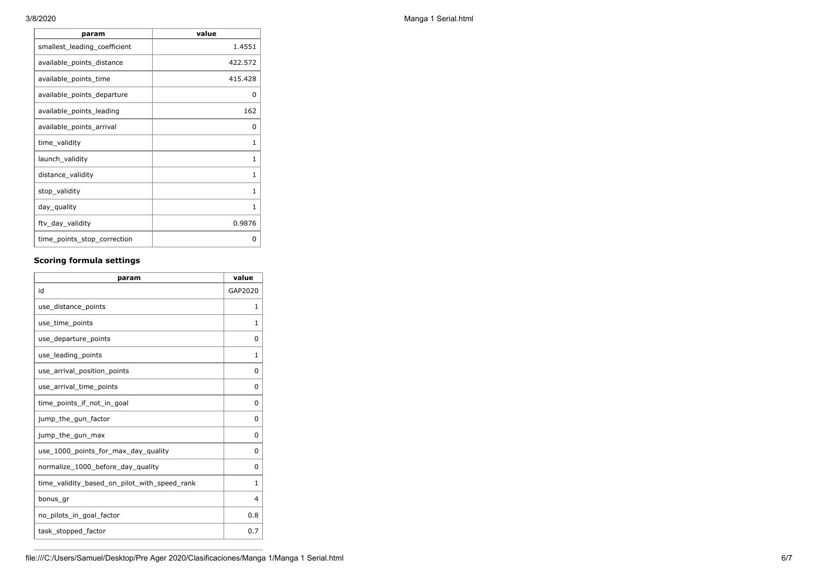| param                        | value        |
|------------------------------|--------------|
| smallest_leading_coefficient | 1.4551       |
| available_points_distance    | 422.572      |
| available_points_time        | 415.428      |
| available_points_departure   | 0            |
| available_points_leading     | 162          |
| available_points_arrival     | <sup>0</sup> |
| time_validity                | 1            |
| launch_validity              | 1            |
| distance_validity            | $\mathbf{1}$ |
| stop_validity                | $\mathbf{1}$ |
| day_quality                  | 1            |
| ftv_day_validity             | 0.9876       |
| time_points_stop_correction  | O            |

## **Scoring formula settings**

| param                                        | value    |
|----------------------------------------------|----------|
| id                                           | GAP2020  |
| use_distance_points                          | 1        |
| use_time_points                              | 1        |
| use_departure_points                         | $\Omega$ |
| use_leading_points                           | 1        |
| use arrival position points                  | $\Omega$ |
| use_arrival_time_points                      | 0        |
| time points if not in goal                   | 0        |
| jump_the_gun_factor                          | $\Omega$ |
| jump_the_gun_max                             | 0        |
| use_1000_points_for_max_day_quality          | $\Omega$ |
| normalize_1000_before_day_quality            | 0        |
| time_validity_based_on_pilot_with_speed_rank | 1        |
| bonus_gr                                     | 4        |
| no pilots in goal factor                     | 0.8      |
| task_stopped_factor                          | 0.7      |